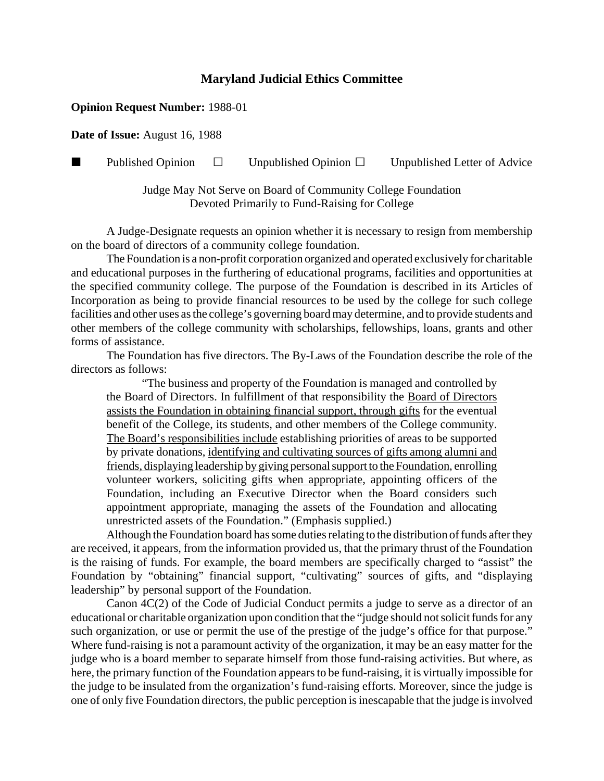## **Maryland Judicial Ethics Committee**

## **Opinion Request Number:** 1988-01

**Date of Issue:** August 16, 1988

**Published Opinion**  $\Box$  Unpublished Opinion  $\Box$  Unpublished Letter of Advice

Judge May Not Serve on Board of Community College Foundation Devoted Primarily to Fund-Raising for College

A Judge-Designate requests an opinion whether it is necessary to resign from membership on the board of directors of a community college foundation.

The Foundation is a non-profit corporation organized and operated exclusively for charitable and educational purposes in the furthering of educational programs, facilities and opportunities at the specified community college. The purpose of the Foundation is described in its Articles of Incorporation as being to provide financial resources to be used by the college for such college facilities and other uses as the college's governing board may determine, and to provide students and other members of the college community with scholarships, fellowships, loans, grants and other forms of assistance.

The Foundation has five directors. The By-Laws of the Foundation describe the role of the directors as follows:

"The business and property of the Foundation is managed and controlled by the Board of Directors. In fulfillment of that responsibility the Board of Directors assists the Foundation in obtaining financial support, through gifts for the eventual benefit of the College, its students, and other members of the College community. The Board's responsibilities include establishing priorities of areas to be supported by private donations, identifying and cultivating sources of gifts among alumni and friends, displaying leadership by giving personal support to the Foundation, enrolling volunteer workers, soliciting gifts when appropriate, appointing officers of the Foundation, including an Executive Director when the Board considers such appointment appropriate, managing the assets of the Foundation and allocating unrestricted assets of the Foundation." (Emphasis supplied.)

Although the Foundation board has some duties relating to the distribution of funds after they are received, it appears, from the information provided us, that the primary thrust of the Foundation is the raising of funds. For example, the board members are specifically charged to "assist" the Foundation by "obtaining" financial support, "cultivating" sources of gifts, and "displaying leadership" by personal support of the Foundation.

Canon 4C(2) of the Code of Judicial Conduct permits a judge to serve as a director of an educational or charitable organization upon condition that the "judge should not solicit funds for any such organization, or use or permit the use of the prestige of the judge's office for that purpose." Where fund-raising is not a paramount activity of the organization, it may be an easy matter for the judge who is a board member to separate himself from those fund-raising activities. But where, as here, the primary function of the Foundation appears to be fund-raising, it is virtually impossible for the judge to be insulated from the organization's fund-raising efforts. Moreover, since the judge is one of only five Foundation directors, the public perception is inescapable that the judge is involved